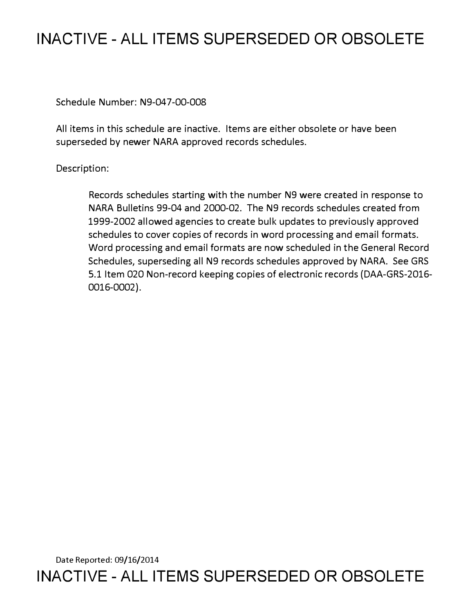## **INACTIVE - ALL ITEMS SUPERSEDED OR OBSOLETE**

Schedule Number: N9-047-00-008

All items in this schedule are inactive. Items are either obsolete or have been superseded by newer NARA approved records schedules.

## Description:

Records schedules starting with the number N9 were created in response to NARA Bulletins 99-04 and 2000-02. The N9 records schedules created from 1999-2002 allowed agencies to create bulk updates to previously approved schedules to cover copies of records in word processing and email formats. Word processing and email formats are now scheduled in the General Record Schedules, superseding all N9 records schedules approved by NARA. See GRS 5.1 Item 020 Non-record keeping copies of electronic records (DAA-GRS-2016- 0016-0002).

Date Reported: 09/16/2014 **INACTIVE - ALL ITEMS SUPERSEDED OR OBSOLETE**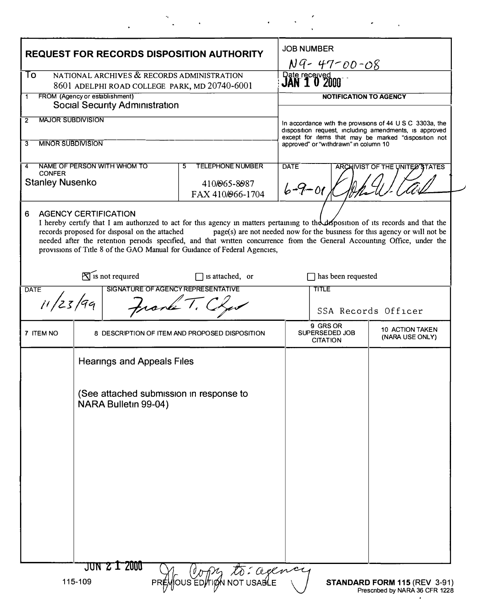| <b>REQUEST FOR RECORDS DISPOSITION AUTHORITY</b>                             |                                                                 |                                               |                                                                                                                                                                                                                                                                                                                                            |                                               | <b>JOB NUMBER</b>                                                                                                                                                          |                                                                            |  |
|------------------------------------------------------------------------------|-----------------------------------------------------------------|-----------------------------------------------|--------------------------------------------------------------------------------------------------------------------------------------------------------------------------------------------------------------------------------------------------------------------------------------------------------------------------------------------|-----------------------------------------------|----------------------------------------------------------------------------------------------------------------------------------------------------------------------------|----------------------------------------------------------------------------|--|
| NATIONAL ARCHIVES & RECORDS ADMINISTRATION<br>To                             |                                                                 |                                               |                                                                                                                                                                                                                                                                                                                                            |                                               | NG-47-00-08<br>Date received                                                                                                                                               |                                                                            |  |
| 8601 ADELPHI ROAD COLLEGE PARK, MD 20740-6001                                |                                                                 |                                               |                                                                                                                                                                                                                                                                                                                                            |                                               |                                                                                                                                                                            |                                                                            |  |
| FROM (Agency or establishment)<br>1<br><b>Social Security Administration</b> |                                                                 |                                               |                                                                                                                                                                                                                                                                                                                                            |                                               | <b>NOTIFICATION TO AGENCY</b>                                                                                                                                              |                                                                            |  |
| <b>MAJOR SUBDIVISION</b><br>2                                                |                                                                 |                                               |                                                                                                                                                                                                                                                                                                                                            |                                               | In accordance with the provisions of 44 U S C 3303a, the<br>disposition request, including amendments, is approved<br>except for items that may be marked "disposition not |                                                                            |  |
|                                                                              |                                                                 |                                               |                                                                                                                                                                                                                                                                                                                                            |                                               |                                                                                                                                                                            |                                                                            |  |
| <b>MINOR SUBDIVISION</b><br>3                                                |                                                                 |                                               |                                                                                                                                                                                                                                                                                                                                            |                                               | approved" or "withdrawn" in column 10                                                                                                                                      |                                                                            |  |
| 4<br><b>CONFER</b>                                                           |                                                                 | NAME OF PERSON WITH WHOM TO                   | <b>TELEPHONE NUMBER</b><br>5                                                                                                                                                                                                                                                                                                               | <b>DATE</b><br>ARCHIVIST OF THE UNITED STATES |                                                                                                                                                                            |                                                                            |  |
| <b>Stanley Nusenko</b>                                                       |                                                                 |                                               | 410/065-8087<br>FAX 410/066-1704                                                                                                                                                                                                                                                                                                           | $6 - 9 - 01$                                  |                                                                                                                                                                            |                                                                            |  |
| <b>AGENCY CERTIFICATION</b><br>6                                             |                                                                 | records proposed for disposal on the attached | I hereby certify that I am authorized to act for this agency in matters pertaining to the disposition of its records and that the<br>needed after the retention periods specified, and that written concurrence from the General Accounting Office, under the<br>provisions of Title 8 of the GAO Manual for Guidance of Federal Agencies, |                                               |                                                                                                                                                                            | page(s) are not needed now for the business for this agency or will not be |  |
| $\sum$ is not required<br>$\Box$ is attached, or                             |                                                                 |                                               |                                                                                                                                                                                                                                                                                                                                            |                                               | has been requested                                                                                                                                                         |                                                                            |  |
| <b>DATE</b>                                                                  |                                                                 | SIGNATURE OF AGENCY REPRESENTATIVE            |                                                                                                                                                                                                                                                                                                                                            |                                               | <b>TITLE</b>                                                                                                                                                               |                                                                            |  |
| i1/23/99<br>from T.                                                          |                                                                 |                                               |                                                                                                                                                                                                                                                                                                                                            |                                               |                                                                                                                                                                            | SSA Records Officer                                                        |  |
| 7 ITEM NO                                                                    |                                                                 |                                               | 8 DESCRIPTION OF ITEM AND PROPOSED DISPOSITION                                                                                                                                                                                                                                                                                             |                                               | 9 GRS OR<br>SUPERSEDED JOB<br><b>CITATION</b>                                                                                                                              | 10 ACTION TAKEN<br>(NARA USE ONLY)                                         |  |
|                                                                              | <b>Hearings and Appeals Files</b>                               |                                               |                                                                                                                                                                                                                                                                                                                                            |                                               |                                                                                                                                                                            |                                                                            |  |
|                                                                              | (See attached submission in response to<br>NARA Bulletin 99-04) |                                               |                                                                                                                                                                                                                                                                                                                                            |                                               |                                                                                                                                                                            |                                                                            |  |
|                                                                              |                                                                 |                                               |                                                                                                                                                                                                                                                                                                                                            |                                               |                                                                                                                                                                            |                                                                            |  |
|                                                                              |                                                                 |                                               |                                                                                                                                                                                                                                                                                                                                            |                                               |                                                                                                                                                                            |                                                                            |  |
|                                                                              | 115-109                                                         | JUN 2 I 2000                                  | to: cegence<br>YOUS EDTIAN                                                                                                                                                                                                                                                                                                                 |                                               |                                                                                                                                                                            | <b>STANDARD FORM 115 (REV 3-91)</b><br>Prescribed by NARA 36 CFR 1228      |  |

 $\label{eq:2.1} \frac{d\mathbf{x}}{d\mathbf{x}} = \frac{d\mathbf{x}}{d\mathbf{x}} = \frac{d\mathbf{x}}{d\mathbf{x}} = \frac{d\mathbf{x}}{d\mathbf{x}} = \frac{d\mathbf{x}}{d\mathbf{x}} = \frac{d\mathbf{x}}{d\mathbf{x}} = \frac{d\mathbf{x}}{d\mathbf{x}} = \frac{d\mathbf{x}}{d\mathbf{x}}$ 

 $\ddot{\phantom{a}}$ 

 $\frac{1}{2}$ 

 $\mathcal{L}^{\text{max}}_{\text{max}}$  and  $\mathcal{L}^{\text{max}}_{\text{max}}$ 

 $\bullet$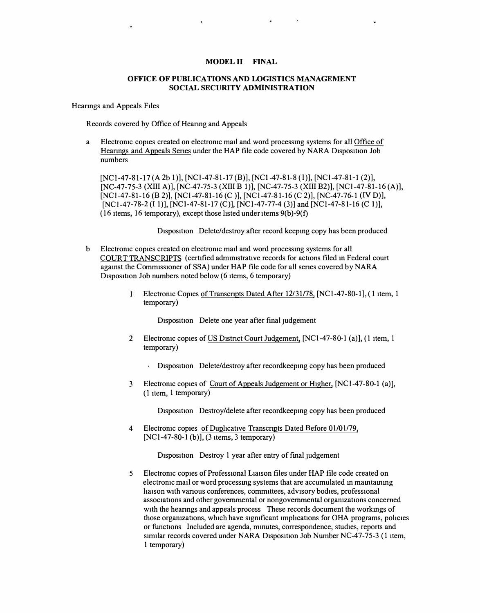## MODEL II FINAL

## OFFICE OF PUBLICATIONS AND LOGISTICS MANAGEMENT SOCIAL SECURITY ADMINISTRATION

Heanngs and Appeals Files

Records covered by Office of Heanng and Appeals

a Electromc copies created on electromc mail and word processmg systems for all Office of Hearings and Appeals Series under the HAP file code covered by NARA Disposition Job numbers

[NCl-47-81-17 (A 2b 1)], [NCl-47-81-17 (B)], [NCl-47-81-8 (1)], [NCl-47-81-1 (2)], [NC-47-75-3 (XIII A)], [NC-47-75-3 (XIII B 1)], [NC-47-75-3 (XIII B2)], [NCl-47-81-16 (A)], [NC1-47-81-16 (B 2)], [NC1-47-81-16 (C )], [NC1-47-81-16 (C 2)], [NC-47-76-1 (IV D)], [NCl-47-78-2 (I 1)], [NCl-47-81-17 (C)], [NCl-47-77-4 (3)] and [NCl-47-81-16 (C 1)], (16 items, 16 temporary), except those listed under items  $9(b)$ - $9(f)$ 

Disposition Delete/destroy after record keeping copy has been produced

- b Electromc copies created on electromc mail and word processmg systems for all COURT TRANSCRIPTS (certified administrative records for actions filed in Federal court agamst the Commissioner of SSA) under HAP file code for all series covered by NARA Disposition Job numbers noted below (6 items, 6 temporary)
	- Electromc Copies of Transcripts Dated After 12/31/78, [NC1-47-80-1], (1 item, 1  $\mathbf{1}$ temporary)

Disposition Delete one year after final judgement

- 2 Electronic copies of US District Court Judgement, [NC1-47-80-1 (a)], (1 item, 1 temporary)
	- Disposition Delete/destroy after recordkeeping copy has been produced
- 3 Electronic copies of Court of Appeals Judgement or Higher, [NCl-47-80-1 (a)], (1 item, 1 temporary)

Disposition Destroy/delete after recordkeeping copy has been produced

4 Electronic copies of Duplicative Transcripts Dated Before 01/01/79,  $[NC1-47-80-1 (b)], (3 items, 3 temporary)$ 

Disposition Destroy 1 year after entry of final judgement

5 Electromc copies of Professional L1a1son files under HAP file code created on electromc mail or word processmg systems that are accumulated m mamtammg ha1son with vanous conferences, committees, advisory bodies, professional associations and other governmental or nongovernmental orgamzations concerned with the hearings and appeals process These records document the workings of those organizations, which have significant implications for OHA programs, policies or functions Included are agenda, mmutes, correspondence, studies, reports and similar records covered under NARA Disposition Job Number NC-47-75-3 (1 item, 1 temporary)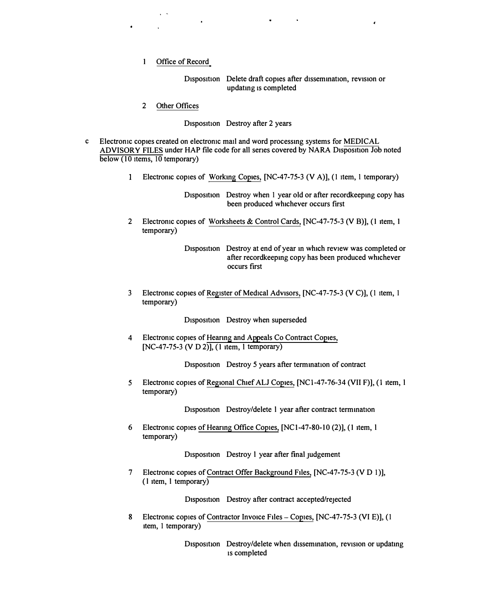1 Office of Record

 $\sim$   $\sim$ 

 $\mathbf{g}=\mathbf{g}$ 

Disposition Delete draft copies after dissemination, revision or updating 1s completed

2 Other Offices

Disposition Destroy after 2 years

- c Electronic copies created on electronic mail and word processing systems for MEDICAL ADVISORY FILES under HAP file code for all series covered by NARA Disposition Job noted below (10 items, 10 temporary)
	- 1 Electronic copies of Working Copies, [NC-47-75-3 (V A)], (1 item, 1 temporary)

Disposition Destroy when 1 year old or after recordkeeping copy has been produced whichever occurs first

2 Electronic copies of Worksheets & Control Cards, [NC-47-75-3 (VB)], (1 item, 1 temporary)

> Disposition Destroy at end of year in which review was completed or after recordkeeping copy has been produced whichever occurs first

3 Electronic copies of Register of Medical Advisors, [NC-47-75-3 (V C)], (1 item, 1 temporary)

Disposition Destroy when superseded

4 Electronic copies of Hearing and Appeals Co Contract Copies,  $[NC-47-75-3 (V D 2)], (1 item, 1 temporary)$ 

Disposition Destroy 5 years after termination of contract

5 Electronic copies of Regional Chief ALJ Copies, [NCl-47-76-34 (VII F)], (1 item, l temporary)

Disposition Destroy/delete I year after contract termination

6 Electronic copies of Hearing Office Copies, [NCl-47-80-10 (2)], (1 item, l temporary)

Disposition Destroy l year after final judgement

7 Electronic copies of Contract Offer Background Files, [NC-47-75-3 (V D 1)],  $(1$  item, 1 temporary)

Disposition Destroy after contract accepted/rejected

8 Electronic copies of Contractor Invoice Files - Copies, [NC-47-75-3 (VI E)], (1 item, 1 temporary)

> Disposition Destroy/delete when dissemination, revision or updating 1s completed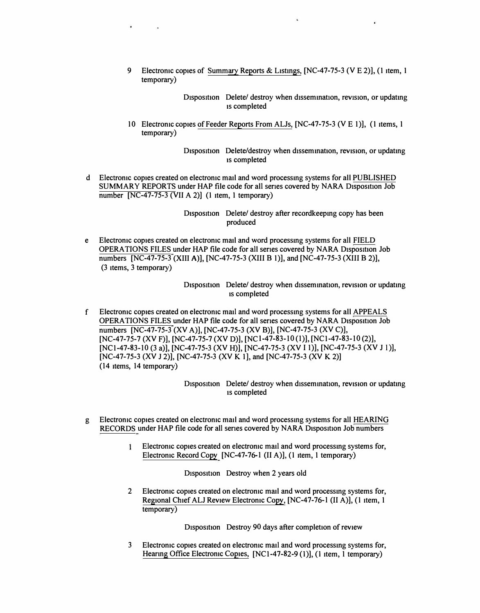9 Electronic copies of Summary Reports & Listings, [NC-47-75-3 (V E 2)], (1 item, 1 temporary)

> Disposition Delete/ destroy when dissemination, revision, or updating ts completed

10 Electronic copies of Feeder Reports From ALJs, [NC-47-75-3 (V E 1)], (1 items, 1 temporary)

> Disposition Delete/destroy when dissemination, revision, or updating ts completed

d Electronic copies created on electronic mail and word processing systems for all PUBLISHED SUMMARY REPORTS under HAP file code for all series covered by NARA Disposition Job number [NC-47-75-3 (VII A 2)] **(I** item, l temporary)

٠

Disposition Delete/ destroy after recordkeeping copy has been produced

e Electronic copies created on electronic mail and word processing systems for all FIELD OPERATIONS FILES under HAP file code for all series covered by NARA Disposition Job numbers [NC-47-75-3 **(XIII A)],** [NC-47-75-3 (XIII B l)], and [NC-47-75-3 (XIII B 2)], (3 items, 3 temporary)

> Disposition Delete/ destroy when dissemination, revision or updating ts completed

f Electronic copies created on electronic matl and word processing systems for all APPEALS OPERATIONS FILES under HAP file code for all series covered by NARA Disposition Job numbers [NC-47-75-3 (XV A)], [NC-47-75-3 (XV B)], [NC-47-75-3 (XV C)], [NC-47-75-7 (XV F)], [NC-47-75-7 (XV D)], [NCl-47-83-10(1)], [NCl-47-83-10 (2)], [NCl-47-83-10 (3 a)], [NC-47-75-3 (XV H)], [NC-47-75-3 (XV I l)], [NC-47-75-3 (XV JI)], [NC-47-75-3 (XV J 2)], [NC-47-75-3 **(XV Kl],** and [NC-47-75-3 **(XV K** 2)] (14 items, 14 temporary)

> Disposition Delete/ destroy when dissemination, revision or updating 1s completed

- g Electronic copies created on electronic mail and word processing systems for all HEARING RECORDS under HAP file code for all series covered by NARA Disposition Job numbers
	- Electronic copies created on electronic mail and word processing systems for, Electronic Record Copy [NC-47-76-1 (II A)], **(I** item, l temporary)

Disposition Destroy when 2 years old

2 Electronic copies created on electronic mail and word processing systems for, Regional Chief ALJ Review Electronic Copy, [NC-47-76-1 (II A)], **(I** item, l temporary)

Disposition Destroy 90 days after completion of review

Electronic copies created on electronic mail and word processing systems for, Hearing Office Electronic Copies, [NC1-47-82-9 (1)], (1 item, 1 temporary) 3